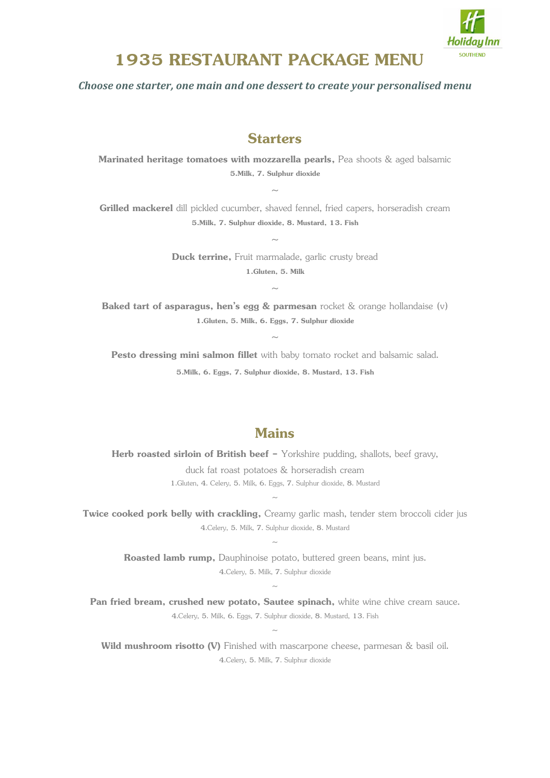

## **1935 RESTAURANT PACKAGE MENU**

*Choose one starter, one main and one dessert to create your personalised menu*

## **Starters**

**Marinated heritage tomatoes with mozzarella pearls,** Pea shoots & aged balsamic **5.Milk, 7. Sulphur dioxide**

 $\sim$ 

**Grilled mackerel** dill pickled cucumber, shaved fennel, fried capers, horseradish cream **5.Milk, 7. Sulphur dioxide, 8. Mustard, 13. Fish**

 $\sim$ 

**Duck terrine,** Fruit marmalade, garlic crusty bread **1.Gluten, 5. Milk**

 $\ddot{\phantom{0}}$ 

**Baked tart of asparagus, hen's egg & parmesan** rocket & orange hollandaise (v) **1.Gluten, 5. Milk, 6. Eggs, 7. Sulphur dioxide**

 $\sim$ 

**Pesto dressing mini salmon fillet** with baby tomato rocket and balsamic salad. **5.Milk, 6. Eggs, 7. Sulphur dioxide, 8. Mustard, 13. Fish**

## **Mains**

**Herb roasted sirloin of British beef -** Yorkshire pudding, shallots, beef gravy, duck fat roast potatoes & horseradish cream 1.Gluten, 4. Celery, 5. Milk, 6. Eggs, 7. Sulphur dioxide, 8. Mustard

**Twice cooked pork belly with crackling,** Creamy garlic mash, tender stem broccoli cider just 4.Celery, 5. Milk, 7. Sulphur dioxide, 8. Mustard

 $\ddot{\phantom{0}}$ 

 $\sim$ 

**Roasted lamb rump,** Dauphinoise potato, buttered green beans, mint jus. 4.Celery, 5. Milk, 7. Sulphur dioxide

 $\sim$ 

Pan fried bream, crushed new potato, Sautee spinach, white wine chive cream sauce. 4.Celery, 5. Milk, 6. Eggs, 7. Sulphur dioxide, 8. Mustard, 13. Fish  $\ddot{\phantom{0}}$ 

Wild mushroom risotto (V) Finished with mascarpone cheese, parmesan & basil oil. 4.Celery, 5. Milk, 7. Sulphur dioxide